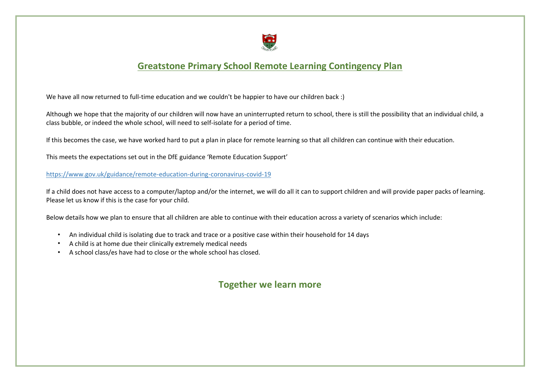

## **Greatstone Primary School Remote Learning Contingency Plan**

We have all now returned to full-time education and we couldn't be happier to have our children back :)

Although we hope that the majority of our children will now have an uninterrupted return to school, there is still the possibility that an individual child, a class bubble, or indeed the whole school, will need to self-isolate for a period of time.

If this becomes the case, we have worked hard to put a plan in place for remote learning so that all children can continue with their education.

This meets the expectations set out in the DfE guidance 'Remote Education Support'

<https://www.gov.uk/guidance/remote-education-during-coronavirus-covid-19>

If a child does not have access to a computer/laptop and/or the internet, we will do all it can to support children and will provide paper packs of learning. Please let us know if this is the case for your child.

Below details how we plan to ensure that all children are able to continue with their education across a variety of scenarios which include:

- An individual child is isolating due to track and trace or a positive case within their household for 14 days
- A child is at home due their clinically extremely medical needs
- A school class/es have had to close or the whole school has closed.

## **Together we learn more**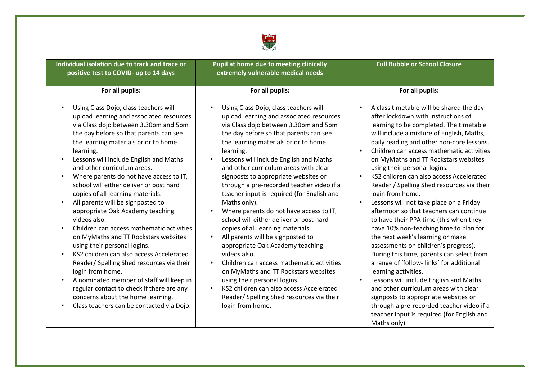

| <b>Individual isolation due to track and trace or</b><br>positive test to COVID- up to 14 days                                                                                                                                                                                                                                                                                                                                                                                                                                                                                                                                                                                                                                                                                                                                                                                                                                                                                                       | Pupil at home due to meeting clinically<br>extremely vulnerable medical needs                                                                                                                                                                                                                                                                                                                                                                                                                                                                                                                                                                                                                                                                                                                                                                                                                                         | <b>Full Bubble or School Closure</b>                                                                                                                                                                                                                                                                                                                                                                                                                                                                                                                                                                                                                                                                                                                                                                                                                                                                                                                                                                                                                                  |
|------------------------------------------------------------------------------------------------------------------------------------------------------------------------------------------------------------------------------------------------------------------------------------------------------------------------------------------------------------------------------------------------------------------------------------------------------------------------------------------------------------------------------------------------------------------------------------------------------------------------------------------------------------------------------------------------------------------------------------------------------------------------------------------------------------------------------------------------------------------------------------------------------------------------------------------------------------------------------------------------------|-----------------------------------------------------------------------------------------------------------------------------------------------------------------------------------------------------------------------------------------------------------------------------------------------------------------------------------------------------------------------------------------------------------------------------------------------------------------------------------------------------------------------------------------------------------------------------------------------------------------------------------------------------------------------------------------------------------------------------------------------------------------------------------------------------------------------------------------------------------------------------------------------------------------------|-----------------------------------------------------------------------------------------------------------------------------------------------------------------------------------------------------------------------------------------------------------------------------------------------------------------------------------------------------------------------------------------------------------------------------------------------------------------------------------------------------------------------------------------------------------------------------------------------------------------------------------------------------------------------------------------------------------------------------------------------------------------------------------------------------------------------------------------------------------------------------------------------------------------------------------------------------------------------------------------------------------------------------------------------------------------------|
| For all pupils:                                                                                                                                                                                                                                                                                                                                                                                                                                                                                                                                                                                                                                                                                                                                                                                                                                                                                                                                                                                      | For all pupils:                                                                                                                                                                                                                                                                                                                                                                                                                                                                                                                                                                                                                                                                                                                                                                                                                                                                                                       | For all pupils:                                                                                                                                                                                                                                                                                                                                                                                                                                                                                                                                                                                                                                                                                                                                                                                                                                                                                                                                                                                                                                                       |
| Using Class Dojo, class teachers will<br>$\bullet$<br>upload learning and associated resources<br>via Class dojo between 3.30pm and 5pm<br>the day before so that parents can see<br>the learning materials prior to home<br>learning.<br>Lessons will include English and Maths<br>$\bullet$<br>and other curriculum areas.<br>Where parents do not have access to IT,<br>school will either deliver or post hard<br>copies of all learning materials.<br>All parents will be signposted to<br>$\bullet$<br>appropriate Oak Academy teaching<br>videos also.<br>Children can access mathematic activities<br>on MyMaths and TT Rockstars websites<br>using their personal logins.<br>KS2 children can also access Accelerated<br>$\bullet$<br>Reader/ Spelling Shed resources via their<br>login from home.<br>A nominated member of staff will keep in<br>$\bullet$<br>regular contact to check if there are any<br>concerns about the home learning.<br>Class teachers can be contacted via Dojo. | Using Class Dojo, class teachers will<br>upload learning and associated resources<br>via Class dojo between 3.30pm and 5pm<br>the day before so that parents can see<br>the learning materials prior to home<br>learning.<br>Lessons will include English and Maths<br>and other curriculum areas with clear<br>signposts to appropriate websites or<br>through a pre-recorded teacher video if a<br>teacher input is required (for English and<br>Maths only).<br>Where parents do not have access to IT,<br>school will either deliver or post hard<br>copies of all learning materials.<br>All parents will be signposted to<br>appropriate Oak Academy teaching<br>videos also.<br>Children can access mathematic activities<br>on MyMaths and TT Rockstars websites<br>using their personal logins.<br>KS2 children can also access Accelerated<br>Reader/ Spelling Shed resources via their<br>login from home. | A class timetable will be shared the day<br>after lockdown with instructions of<br>learning to be completed. The timetable<br>will include a mixture of English, Maths,<br>daily reading and other non-core lessons.<br>Children can access mathematic activities<br>on MyMaths and TT Rockstars websites<br>using their personal logins.<br>KS2 children can also access Accelerated<br>Reader / Spelling Shed resources via their<br>login from home.<br>Lessons will not take place on a Friday<br>afternoon so that teachers can continue<br>to have their PPA time (this when they<br>have 10% non-teaching time to plan for<br>the next week's learning or make<br>assessments on children's progress).<br>During this time, parents can select from<br>a range of 'follow- links' for additional<br>learning activities.<br>Lessons will include English and Maths<br>and other curriculum areas with clear<br>signposts to appropriate websites or<br>through a pre-recorded teacher video if a<br>teacher input is required (for English and<br>Maths only). |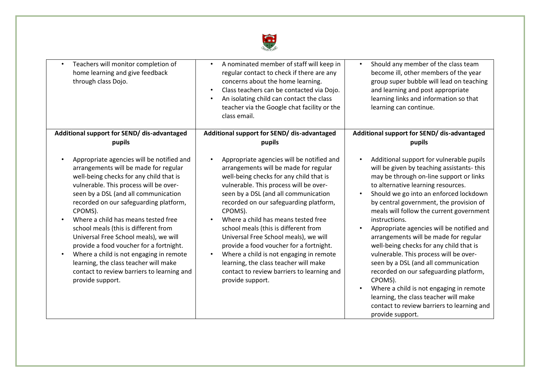

| Teachers will monitor completion of<br>$\bullet$<br>home learning and give feedback<br>through class Dojo.                                                                                                                                                                                                                                                                                                                                                                                                                                                                                    | A nominated member of staff will keep in<br>$\bullet$<br>regular contact to check if there are any<br>concerns about the home learning.<br>Class teachers can be contacted via Dojo.<br>$\bullet$<br>An isolating child can contact the class<br>$\bullet$<br>teacher via the Google chat facility or the<br>class email.                                                                                                                                                                                                                                                                                  | Should any member of the class team<br>$\bullet$<br>become ill, other members of the year<br>group super bubble will lead on teaching<br>and learning and post appropriate<br>learning links and information so that<br>learning can continue.                                                                                                                                                                                                                                                                                                                                                                                                                                                                                                                                                |
|-----------------------------------------------------------------------------------------------------------------------------------------------------------------------------------------------------------------------------------------------------------------------------------------------------------------------------------------------------------------------------------------------------------------------------------------------------------------------------------------------------------------------------------------------------------------------------------------------|------------------------------------------------------------------------------------------------------------------------------------------------------------------------------------------------------------------------------------------------------------------------------------------------------------------------------------------------------------------------------------------------------------------------------------------------------------------------------------------------------------------------------------------------------------------------------------------------------------|-----------------------------------------------------------------------------------------------------------------------------------------------------------------------------------------------------------------------------------------------------------------------------------------------------------------------------------------------------------------------------------------------------------------------------------------------------------------------------------------------------------------------------------------------------------------------------------------------------------------------------------------------------------------------------------------------------------------------------------------------------------------------------------------------|
| Additional support for SEND/ dis-advantaged                                                                                                                                                                                                                                                                                                                                                                                                                                                                                                                                                   | Additional support for SEND/ dis-advantaged                                                                                                                                                                                                                                                                                                                                                                                                                                                                                                                                                                | Additional support for SEND/ dis-advantaged                                                                                                                                                                                                                                                                                                                                                                                                                                                                                                                                                                                                                                                                                                                                                   |
| pupils                                                                                                                                                                                                                                                                                                                                                                                                                                                                                                                                                                                        | pupils                                                                                                                                                                                                                                                                                                                                                                                                                                                                                                                                                                                                     | pupils                                                                                                                                                                                                                                                                                                                                                                                                                                                                                                                                                                                                                                                                                                                                                                                        |
| Appropriate agencies will be notified and<br>arrangements will be made for regular<br>well-being checks for any child that is<br>vulnerable. This process will be over-<br>seen by a DSL (and all communication<br>recorded on our safeguarding platform,<br>CPOMS).<br>Where a child has means tested free<br>school meals (this is different from<br>Universal Free School meals), we will<br>provide a food voucher for a fortnight.<br>Where a child is not engaging in remote<br>learning, the class teacher will make<br>contact to review barriers to learning and<br>provide support. | Appropriate agencies will be notified and<br>arrangements will be made for regular<br>well-being checks for any child that is<br>vulnerable. This process will be over-<br>seen by a DSL (and all communication<br>recorded on our safeguarding platform,<br>CPOMS).<br>Where a child has means tested free<br>school meals (this is different from<br>Universal Free School meals), we will<br>provide a food voucher for a fortnight.<br>Where a child is not engaging in remote<br>$\bullet$<br>learning, the class teacher will make<br>contact to review barriers to learning and<br>provide support. | Additional support for vulnerable pupils<br>will be given by teaching assistants-this<br>may be through on-line support or links<br>to alternative learning resources.<br>Should we go into an enforced lockdown<br>$\bullet$<br>by central government, the provision of<br>meals will follow the current government<br>instructions.<br>Appropriate agencies will be notified and<br>$\bullet$<br>arrangements will be made for regular<br>well-being checks for any child that is<br>vulnerable. This process will be over-<br>seen by a DSL (and all communication<br>recorded on our safeguarding platform,<br>CPOMS).<br>Where a child is not engaging in remote<br>$\bullet$<br>learning, the class teacher will make<br>contact to review barriers to learning and<br>provide support. |